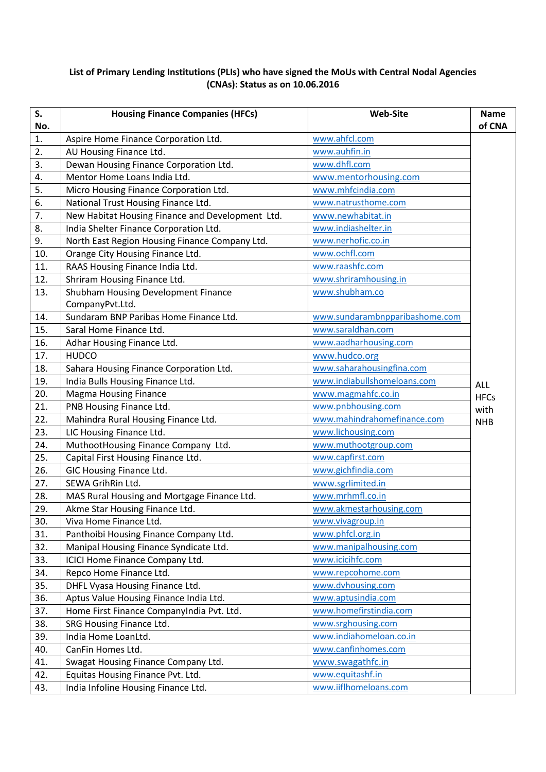## **List of Primary Lending Institutions (PLIs) who have signed the MoUs with Central Nodal Agencies (CNAs): Status as on 10.06.2016**

| S.<br>No.        | <b>Housing Finance Companies (HFCs)</b>          | <b>Web-Site</b>                | <b>Name</b><br>of CNA |
|------------------|--------------------------------------------------|--------------------------------|-----------------------|
| 1.               | Aspire Home Finance Corporation Ltd.             | www.ahfcl.com                  |                       |
| $\overline{2}$ . | AU Housing Finance Ltd.                          | www.auhfin.in                  |                       |
| 3.               | Dewan Housing Finance Corporation Ltd.           | www.dhfl.com                   |                       |
| 4.               | Mentor Home Loans India Ltd.                     | www.mentorhousing.com          |                       |
| 5.               | Micro Housing Finance Corporation Ltd.           | www.mhfcindia.com              |                       |
| 6.               | National Trust Housing Finance Ltd.              | www.natrusthome.com            |                       |
| 7.               | New Habitat Housing Finance and Development Ltd. | www.newhabitat.in              |                       |
| 8.               | India Shelter Finance Corporation Ltd.           | www.indiashelter.in            |                       |
| 9.               | North East Region Housing Finance Company Ltd.   | www.nerhofic.co.in             |                       |
| 10.              | Orange City Housing Finance Ltd.                 | www.ochfl.com                  |                       |
| 11.              | RAAS Housing Finance India Ltd.                  | www.raashfc.com                |                       |
| 12.              | Shriram Housing Finance Ltd.                     | www.shriramhousing.in          |                       |
| 13.              | Shubham Housing Development Finance              | www.shubham.co                 |                       |
|                  | CompanyPvt.Ltd.                                  |                                |                       |
| 14.              | Sundaram BNP Paribas Home Finance Ltd.           | www.sundarambnpparibashome.com |                       |
| 15.              | Saral Home Finance Ltd.                          | www.saraldhan.com              |                       |
| 16.              | Adhar Housing Finance Ltd.                       | www.aadharhousing.com          |                       |
| 17.              | <b>HUDCO</b>                                     | www.hudco.org                  |                       |
| 18.              | Sahara Housing Finance Corporation Ltd.          | www.saharahousingfina.com      |                       |
| 19.              | India Bulls Housing Finance Ltd.                 | www.indiabullshomeloans.com    | <b>ALL</b>            |
| 20.              | <b>Magma Housing Finance</b>                     | www.magmahfc.co.in             | <b>HFCs</b>           |
| 21.              | PNB Housing Finance Ltd.                         | www.pnbhousing.com             | with                  |
| 22.              | Mahindra Rural Housing Finance Ltd.              | www.mahindrahomefinance.com    | <b>NHB</b>            |
| 23.              | LIC Housing Finance Ltd.                         | www.lichousing.com             |                       |
| 24.              | MuthootHousing Finance Company Ltd.              | www.muthootgroup.com           |                       |
| 25.              | Capital First Housing Finance Ltd.               | www.capfirst.com               |                       |
| 26.              | GIC Housing Finance Ltd.                         | www.gichfindia.com             |                       |
| 27.              | SEWA GrihRin Ltd.                                | www.sgrlimited.in              |                       |
| 28.              | MAS Rural Housing and Mortgage Finance Ltd.      | www.mrhmfl.co.in               |                       |
| 29.              | Akme Star Housing Finance Ltd.                   | www.akmestarhousing.com        |                       |
| 30.              | Viva Home Finance Ltd.                           | www.vivagroup.in               |                       |
| 31.              | Panthoibi Housing Finance Company Ltd.           | www.phfcl.org.in               |                       |
| 32.              | Manipal Housing Finance Syndicate Ltd.           | www.manipalhousing.com         |                       |
| 33.              | ICICI Home Finance Company Ltd.                  | www.icicihfc.com               |                       |
| 34.              | Repco Home Finance Ltd.                          | www.repcohome.com              |                       |
| 35.              | DHFL Vyasa Housing Finance Ltd.                  | www.dvhousing.com              |                       |
| 36.              | Aptus Value Housing Finance India Ltd.           | www.aptusindia.com             |                       |
| 37.              | Home First Finance CompanyIndia Pvt. Ltd.        | www.homefirstindia.com         |                       |
| 38.              | SRG Housing Finance Ltd.                         | www.srghousing.com             |                       |
| 39.              | India Home LoanLtd.                              | www.indiahomeloan.co.in        |                       |
| 40.              | CanFin Homes Ltd.                                | www.canfinhomes.com            |                       |
| 41.              | Swagat Housing Finance Company Ltd.              | www.swagathfc.in               |                       |
| 42.              | Equitas Housing Finance Pvt. Ltd.                | www.equitashf.in               |                       |
| 43.              | India Infoline Housing Finance Ltd.              | www.iiflhomeloans.com          |                       |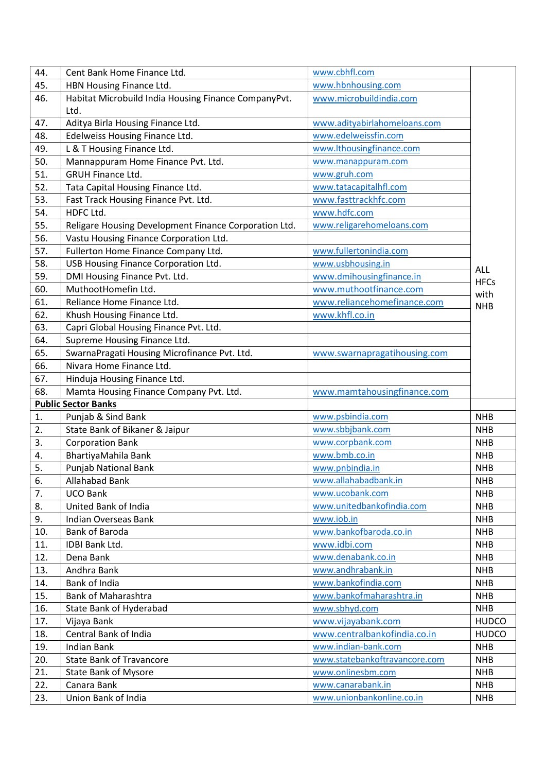| 44. | Cent Bank Home Finance Ltd.                           | www.cbhfl.com                 |              |
|-----|-------------------------------------------------------|-------------------------------|--------------|
| 45. | HBN Housing Finance Ltd.                              | www.hbnhousing.com            |              |
| 46. | Habitat Microbuild India Housing Finance CompanyPvt.  | www.microbuildindia.com       |              |
|     | Ltd.                                                  |                               |              |
| 47. | Aditya Birla Housing Finance Ltd.                     | www.adityabirlahomeloans.com  |              |
| 48. | Edelweiss Housing Finance Ltd.                        | www.edelweissfin.com          |              |
| 49. | L & T Housing Finance Ltd.                            | www.lthousingfinance.com      |              |
| 50. | Mannappuram Home Finance Pvt. Ltd.                    | www.manappuram.com            |              |
| 51. | <b>GRUH Finance Ltd.</b>                              | www.gruh.com                  |              |
| 52. | Tata Capital Housing Finance Ltd.                     | www.tatacapitalhfl.com        |              |
| 53. | Fast Track Housing Finance Pvt. Ltd.                  | www.fasttrackhfc.com          |              |
| 54. | HDFC Ltd.                                             | www.hdfc.com                  |              |
| 55. | Religare Housing Development Finance Corporation Ltd. | www.religarehomeloans.com     |              |
| 56. | Vastu Housing Finance Corporation Ltd.                |                               |              |
| 57. | Fullerton Home Finance Company Ltd.                   | www.fullertonindia.com        |              |
| 58. | USB Housing Finance Corporation Ltd.                  | www.usbhousing.in             |              |
| 59. | DMI Housing Finance Pvt. Ltd.                         | www.dmihousingfinance.in      | <b>ALL</b>   |
| 60. | MuthootHomefin Ltd.                                   | www.muthootfinance.com        | <b>HFCs</b>  |
| 61. | Reliance Home Finance Ltd.                            | www.reliancehomefinance.com   | with         |
| 62. | Khush Housing Finance Ltd.                            | www.khfl.co.in                | <b>NHB</b>   |
| 63. | Capri Global Housing Finance Pvt. Ltd.                |                               |              |
| 64. | Supreme Housing Finance Ltd.                          |                               |              |
| 65. | SwarnaPragati Housing Microfinance Pvt. Ltd.          | www.swarnapragatihousing.com  |              |
| 66. | Nivara Home Finance Ltd.                              |                               |              |
| 67. | Hinduja Housing Finance Ltd.                          |                               |              |
| 68. | Mamta Housing Finance Company Pvt. Ltd.               | www.mamtahousingfinance.com   |              |
|     | <b>Public Sector Banks</b>                            |                               |              |
| 1.  | Punjab & Sind Bank                                    | www.psbindia.com              | <b>NHB</b>   |
| 2.  | State Bank of Bikaner & Jaipur                        | www.sbbjbank.com              | <b>NHB</b>   |
| 3.  |                                                       | www.corpbank.com              | <b>NHB</b>   |
|     | <b>Corporation Bank</b>                               | www.bmb.co.in                 | <b>NHB</b>   |
| 4.  | BhartiyaMahila Bank                                   |                               |              |
| 5.  | Punjab National Bank                                  | www.pnbindia.in               | <b>NHB</b>   |
| 6.  | Allahabad Bank                                        | www.allahabadbank.in          | <b>NHB</b>   |
| 7.  | <b>UCO Bank</b>                                       | www.ucobank.com               | <b>NHB</b>   |
| 8.  | United Bank of India                                  | www.unitedbankofindia.com     | <b>NHB</b>   |
| 9.  | <b>Indian Overseas Bank</b>                           | www.iob.in                    | <b>NHB</b>   |
| 10. | <b>Bank of Baroda</b>                                 | www.bankofbaroda.co.in        | <b>NHB</b>   |
| 11. | IDBI Bank Ltd.                                        | www.idbi.com                  | <b>NHB</b>   |
| 12. | Dena Bank                                             | www.denabank.co.in            | <b>NHB</b>   |
| 13. | Andhra Bank                                           | www.andhrabank.in             | <b>NHB</b>   |
| 14. | Bank of India                                         | www.bankofindia.com           | <b>NHB</b>   |
| 15. | <b>Bank of Maharashtra</b>                            | www.bankofmaharashtra.in      | <b>NHB</b>   |
| 16. | State Bank of Hyderabad                               | www.sbhyd.com                 | <b>NHB</b>   |
| 17. | Vijaya Bank                                           | www.vijayabank.com            | <b>HUDCO</b> |
| 18. | Central Bank of India                                 | www.centralbankofindia.co.in  | <b>HUDCO</b> |
| 19. | <b>Indian Bank</b>                                    | www.indian-bank.com           | <b>NHB</b>   |
| 20. | <b>State Bank of Travancore</b>                       | www.statebankoftravancore.com | <b>NHB</b>   |
| 21. | <b>State Bank of Mysore</b>                           | www.onlinesbm.com             | <b>NHB</b>   |
| 22. | Canara Bank                                           | www.canarabank.in             | <b>NHB</b>   |
| 23. | Union Bank of India                                   | www.unionbankonline.co.in     | <b>NHB</b>   |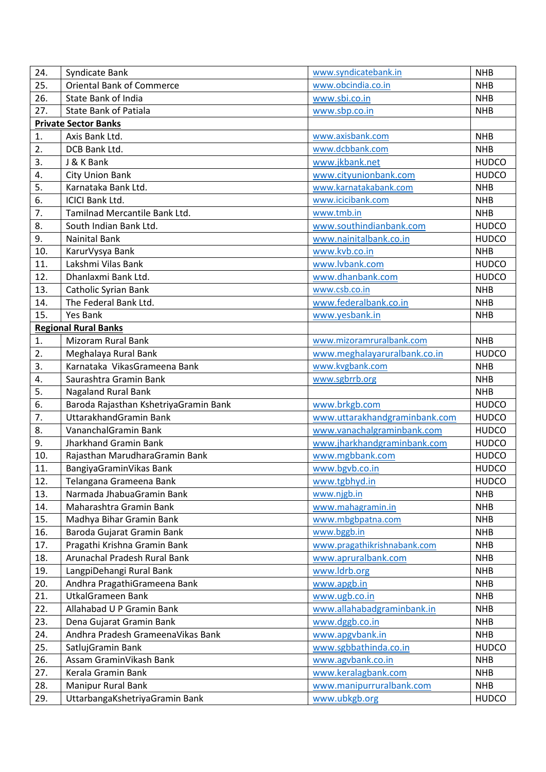| 24.        | Syndicate Bank                                              | www.syndicatebank.in                      | <b>NHB</b>                 |
|------------|-------------------------------------------------------------|-------------------------------------------|----------------------------|
| 25.        | <b>Oriental Bank of Commerce</b>                            | www.obcindia.co.in                        | <b>NHB</b>                 |
| 26.        | <b>State Bank of India</b>                                  | www.sbi.co.in                             | <b>NHB</b>                 |
| 27.        | <b>State Bank of Patiala</b>                                | www.sbp.co.in                             | <b>NHB</b>                 |
|            | <b>Private Sector Banks</b>                                 |                                           |                            |
| 1.         | Axis Bank Ltd.                                              | www.axisbank.com                          | <b>NHB</b>                 |
| 2.         | DCB Bank Ltd.                                               | www.dcbbank.com                           | <b>NHB</b>                 |
| 3.         | J & K Bank                                                  | www.jkbank.net                            | <b>HUDCO</b>               |
| 4.         | <b>City Union Bank</b>                                      | www.cityunionbank.com                     | <b>HUDCO</b>               |
| 5.         | Karnataka Bank Ltd.                                         | www.karnatakabank.com                     | <b>NHB</b>                 |
| 6.         | <b>ICICI Bank Ltd.</b>                                      | www.icicibank.com                         | <b>NHB</b>                 |
| 7.         | Tamilnad Mercantile Bank Ltd.                               | www.tmb.in                                | <b>NHB</b>                 |
| 8.         | South Indian Bank Ltd.                                      | www.southindianbank.com                   | <b>HUDCO</b>               |
| 9.         | <b>Nainital Bank</b>                                        | www.nainitalbank.co.in                    | <b>HUDCO</b>               |
| 10.        | KarurVysya Bank                                             | www.kvb.co.in                             | <b>NHB</b>                 |
| 11.        | Lakshmi Vilas Bank                                          | www.lvbank.com                            | <b>HUDCO</b>               |
| 12.        | Dhanlaxmi Bank Ltd.                                         | www.dhanbank.com                          | <b>HUDCO</b>               |
| 13.        | Catholic Syrian Bank                                        | www.csb.co.in                             | <b>NHB</b>                 |
| 14.        | The Federal Bank Ltd.                                       | www.federalbank.co.in                     | <b>NHB</b>                 |
| 15.        | <b>Yes Bank</b>                                             | www.yesbank.in                            | <b>NHB</b>                 |
|            | <b>Regional Rural Banks</b>                                 |                                           |                            |
| 1.         | <b>Mizoram Rural Bank</b>                                   | www.mizoramruralbank.com                  | <b>NHB</b>                 |
| 2.         | Meghalaya Rural Bank                                        | www.meghalayaruralbank.co.in              | <b>HUDCO</b>               |
| 3.         | Karnataka VikasGrameena Bank                                | www.kvgbank.com                           | <b>NHB</b>                 |
| 4.         | Saurashtra Gramin Bank                                      | www.sgbrrb.org                            | <b>NHB</b>                 |
| 5.         | <b>Nagaland Rural Bank</b>                                  |                                           | <b>NHB</b>                 |
| 6.         | Baroda Rajasthan KshetriyaGramin Bank                       | www.brkgb.com                             | <b>HUDCO</b>               |
| 7.         | UttarakhandGramin Bank                                      | www.uttarakhandgraminbank.com             | <b>HUDCO</b>               |
| 8.         | VananchalGramin Bank                                        | www.vanachalgraminbank.com                | <b>HUDCO</b>               |
| 9.         | Jharkhand Gramin Bank                                       | www.jharkhandgraminbank.com               | <b>HUDCO</b>               |
| 10.        | Rajasthan MarudharaGramin Bank                              | www.mgbbank.com                           | <b>HUDCO</b>               |
| 11.        | BangiyaGraminVikas Bank                                     | www.bgvb.co.in                            | <b>HUDCO</b>               |
| 12.        | Telangana Grameena Bank                                     | www.tgbhyd.in                             | <b>HUDCO</b>               |
| 13.        | Narmada JhabuaGramin Bank                                   | www.njgb.in                               | <b>NHB</b>                 |
| 14.        | Maharashtra Gramin Bank                                     | www.mahagramin.in                         | <b>NHB</b>                 |
| 15.        | Madhya Bihar Gramin Bank                                    | www.mbgbpatna.com                         | <b>NHB</b>                 |
| 16.        | Baroda Gujarat Gramin Bank                                  | www.bggb.in                               | <b>NHB</b>                 |
| 17.        | Pragathi Krishna Gramin Bank                                | www.pragathikrishnabank.com               | <b>NHB</b>                 |
| 18.        | Arunachal Pradesh Rural Bank                                | www.apruralbank.com                       | <b>NHB</b>                 |
| 19.        | LangpiDehangi Rural Bank                                    | www.ldrb.org                              | <b>NHB</b>                 |
| 20.        | Andhra PragathiGrameena Bank                                | www.apgb.in                               | <b>NHB</b>                 |
| 21.        | <b>UtkalGrameen Bank</b>                                    | www.ugb.co.in                             | <b>NHB</b>                 |
| 22.        | Allahabad U P Gramin Bank                                   | www.allahabadgraminbank.in                | <b>NHB</b>                 |
| 23.        | Dena Gujarat Gramin Bank                                    | www.dggb.co.in                            | <b>NHB</b>                 |
|            | Andhra Pradesh GrameenaVikas Bank                           |                                           | <b>NHB</b>                 |
| 24.<br>25. |                                                             | www.apgvbank.in<br>www.sgbbathinda.co.in  | <b>HUDCO</b>               |
|            |                                                             |                                           |                            |
|            | SatlujGramin Bank                                           |                                           |                            |
| 26.        | Assam GraminVikash Bank                                     | www.agvbank.co.in                         | <b>NHB</b>                 |
| 27.        | Kerala Gramin Bank                                          | www.keralagbank.com                       | <b>NHB</b>                 |
| 28.<br>29. | <b>Manipur Rural Bank</b><br>UttarbangaKshetriyaGramin Bank | www.manipurruralbank.com<br>www.ubkgb.org | <b>NHB</b><br><b>HUDCO</b> |